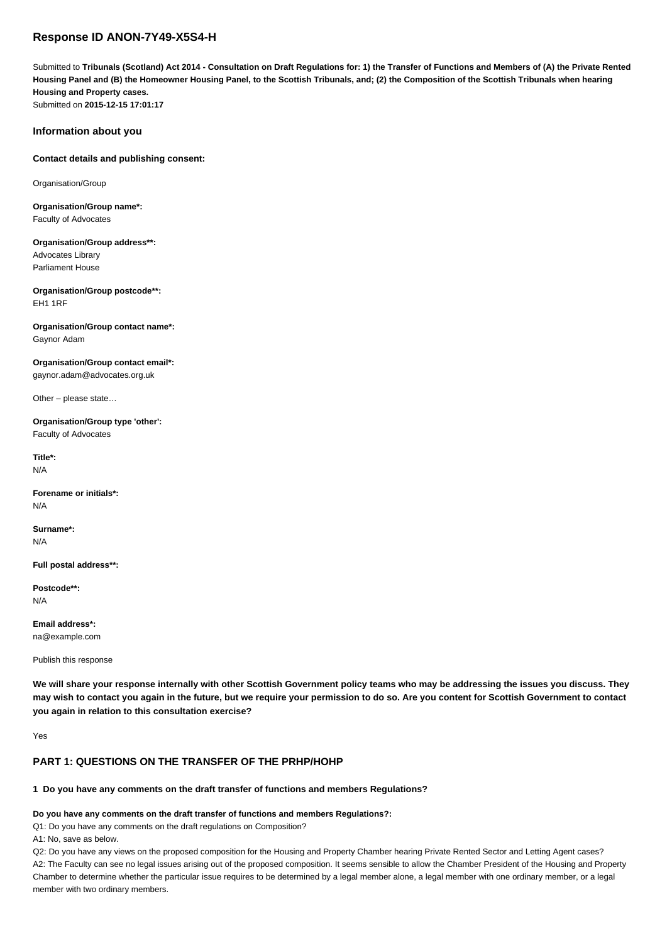# **Response ID ANON-7Y49-X5S4-H**

Submitted to **Tribunals (Scotland) Act 2014 - Consultation on Draft Regulations for: 1) the Transfer of Functions and Members of (A) the Private Rented Housing Panel and (B) the Homeowner Housing Panel, to the Scottish Tribunals, and; (2) the Composition of the Scottish Tribunals when hearing Housing and Property cases.** Submitted on **2015-12-15 17:01:17**

#### **Information about you**

#### **Contact details and publishing consent:**

Organisation/Group

**Organisation/Group name\*:** Faculty of Advocates

**Organisation/Group address\*\*:** Advocates Library

Parliament House

**Organisation/Group postcode\*\*:** EH1 1RF

**Organisation/Group contact name\*:** Gaynor Adam

**Organisation/Group contact email\*:** gaynor.adam@advocates.org.uk

Other – please state…

**Organisation/Group type 'other':** Faculty of Advocates

**Title\*:** N/A

**Forename or initials\*:** N/A

**Surname\*:** N/A

**Full postal address\*\*:**

**Postcode\*\*:** N/A

**Email address\*:** na@example.com

Publish this response

**We will share your response internally with other Scottish Government policy teams who may be addressing the issues you discuss. They may wish to contact you again in the future, but we require your permission to do so. Are you content for Scottish Government to contact you again in relation to this consultation exercise?**

Yes

### **PART 1: QUESTIONS ON THE TRANSFER OF THE PRHP/HOHP**

### **1 Do you have any comments on the draft transfer of functions and members Regulations?**

#### **Do you have any comments on the draft transfer of functions and members Regulations?:**

Q1: Do you have any comments on the draft regulations on Composition?

A1: No, save as below.

Q2: Do you have any views on the proposed composition for the Housing and Property Chamber hearing Private Rented Sector and Letting Agent cases? A2: The Faculty can see no legal issues arising out of the proposed composition. It seems sensible to allow the Chamber President of the Housing and Property Chamber to determine whether the particular issue requires to be determined by a legal member alone, a legal member with one ordinary member, or a legal member with two ordinary members.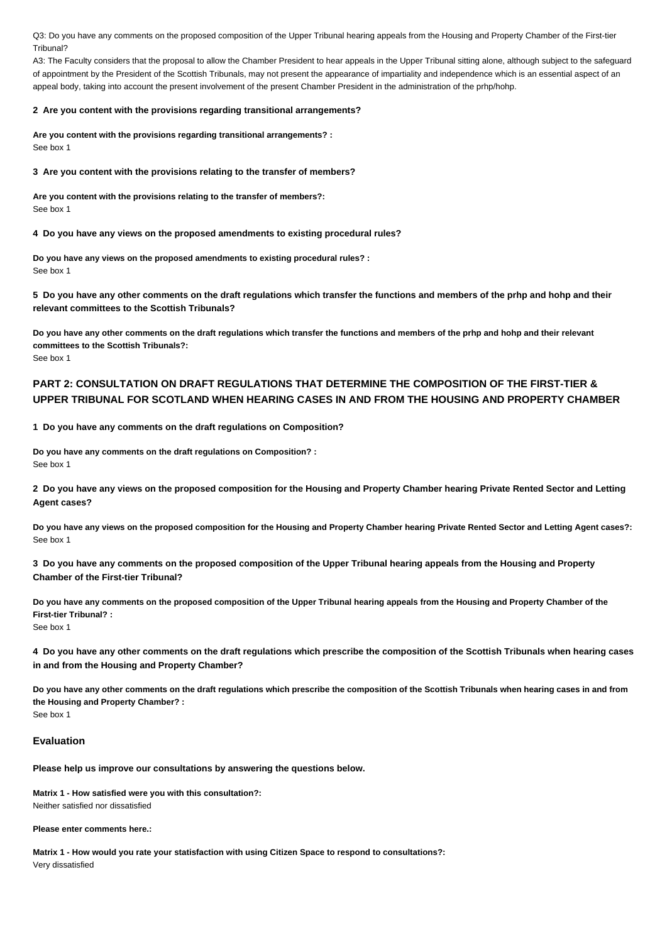Q3: Do you have any comments on the proposed composition of the Upper Tribunal hearing appeals from the Housing and Property Chamber of the First-tier Tribunal?

A3: The Faculty considers that the proposal to allow the Chamber President to hear appeals in the Upper Tribunal sitting alone, although subject to the safeguard of appointment by the President of the Scottish Tribunals, may not present the appearance of impartiality and independence which is an essential aspect of an appeal body, taking into account the present involvement of the present Chamber President in the administration of the prhp/hohp.

#### **2 Are you content with the provisions regarding transitional arrangements?**

**Are you content with the provisions regarding transitional arrangements? :** See box 1

**3 Are you content with the provisions relating to the transfer of members?**

**Are you content with the provisions relating to the transfer of members?:** See box 1

**4 Do you have any views on the proposed amendments to existing procedural rules?**

**Do you have any views on the proposed amendments to existing procedural rules? :** See box 1

**5 Do you have any other comments on the draft regulations which transfer the functions and members of the prhp and hohp and their relevant committees to the Scottish Tribunals?**

**Do you have any other comments on the draft regulations which transfer the functions and members of the prhp and hohp and their relevant committees to the Scottish Tribunals?:** See box 1

## **PART 2: CONSULTATION ON DRAFT REGULATIONS THAT DETERMINE THE COMPOSITION OF THE FIRST-TIER & UPPER TRIBUNAL FOR SCOTLAND WHEN HEARING CASES IN AND FROM THE HOUSING AND PROPERTY CHAMBER**

**1 Do you have any comments on the draft regulations on Composition?**

**Do you have any comments on the draft regulations on Composition? :** See box 1

**2 Do you have any views on the proposed composition for the Housing and Property Chamber hearing Private Rented Sector and Letting Agent cases?**

**Do you have any views on the proposed composition for the Housing and Property Chamber hearing Private Rented Sector and Letting Agent cases?:** See box 1

**3 Do you have any comments on the proposed composition of the Upper Tribunal hearing appeals from the Housing and Property Chamber of the First-tier Tribunal?**

**Do you have any comments on the proposed composition of the Upper Tribunal hearing appeals from the Housing and Property Chamber of the First-tier Tribunal? :** See box 1

**4 Do you have any other comments on the draft regulations which prescribe the composition of the Scottish Tribunals when hearing cases in and from the Housing and Property Chamber?**

**Do you have any other comments on the draft regulations which prescribe the composition of the Scottish Tribunals when hearing cases in and from the Housing and Property Chamber? :** See box 1

#### **Evaluation**

**Please help us improve our consultations by answering the questions below.**

**Matrix 1 - How satisfied were you with this consultation?:**

Neither satisfied nor dissatisfied

**Please enter comments here.:**

**Matrix 1 - How would you rate your statisfaction with using Citizen Space to respond to consultations?:** Very dissatisfied